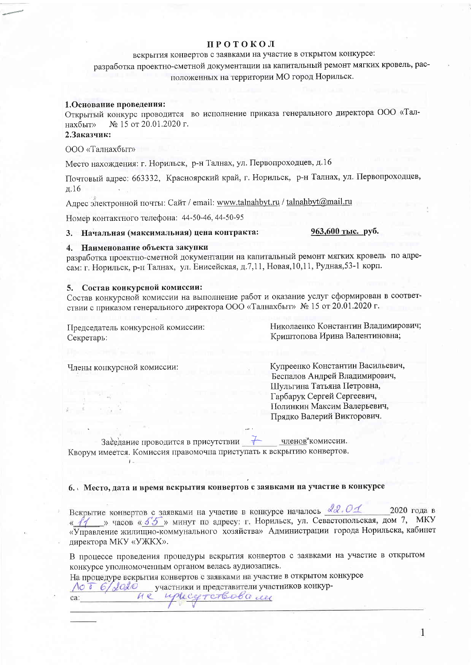#### **ПРОТОКОЛ**

## вскрытия конвертов с заявками на участие в открытом конкурсе:

разработка проектно-сметной документации на капитальный ремонт мягких кровель, расположенных на территории МО город Норильск.

#### 1. Основание проведения:

Открытый конкурс проводится во исполнение приказа генерального директора ООО «Талнахбыт» № 15 от 20.01.2020 г.

#### 2.3аказчик:

ООО «Талнахбыт»

Место нахождения: г. Норильск, р-н Талнах, ул. Первопроходцев, д.16

Почтовый адрес: 663332, Красноярский край, г. Норильск, р-н Талнах, ул. Первопроходцев, д.16

Адрес электронной почты: Сайт / email: www.talnahbyt.ru / talnahbyt@mail.ru

Номер контактного телефона: 44-50-46, 44-50-95

### 3. Начальная (максимальная) цена контракта:

Наименование объекта закупки  $\overline{4}$ .

разработка проектно-сметной документации на капитальный ремонт мягких кровель по адресам: г. Норильск, р-н Талнах, ул. Енисейская, д.7,11, Новая, 10,11, Рудная, 53-1 корп.

### 5. Состав конкурсной комиссии:

Состав конкурсной комиссии на выполнение работ и оказание услуг сформирован в соответствии с приказом генерального директора ООО «Талнахбыт» № 15 от 20.01.2020 г.

Председатель конкурсной комиссии: Секретарь:

Николаенко Константин Владимирович; Криштопова Ирина Валентиновна;

963,600 тыс. руб.

Члены конкурсной комиссии:

 $\mathbf{L}$ 

Купреенко Константин Васильевич, Беспалов Андрей Владимирович, Шульгина Татьяна Петровна, Гарбарук Сергей Сергеевич, Полинкин Максим Валерьевич, Прядко Валерий Викторович.

Заседание проводится в присутствии членов' комиссии. Кворум имеется. Комиссия правомочна приступать к вскрытию конвертов.

## 6. Место, дата и время вскрытия конвертов с заявками на участие в конкурсе

Вскрытие конвертов с заявками на участие в конкурсе началось 22.01 2020 года в « 11 » часов « 55 » минут по адресу: г. Норильск, ул. Севастопольская, дом 7, МКУ «Управление жилищно-коммунального хозяйства» Администрации города Норильска, кабинет директора МКУ «УЖКХ».

В процессе проведения процедуры вскрытия конвертов с заявками на участие в открытом конкурсе уполномоченным органом велась аудиозапись.

На процедуре вскрытия конвертов с заявками на участие в открытом конкурсе участники и представители участников конкур-NOT 6/2020 ca:

 $He$ uphagrarbobame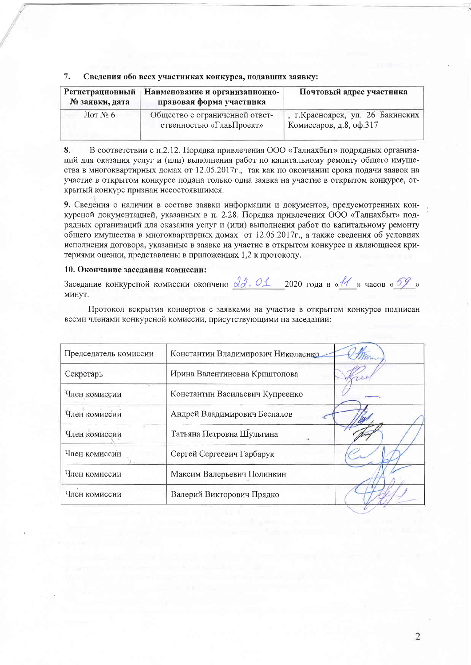|  |  | . Сведения обо всех участниках конкурса, подавших заявку: |
|--|--|-----------------------------------------------------------|
|  |  |                                                           |

| Регистрационный<br>№ заявки, дата | Наименование и организационно-<br>правовая форма участника | Почтовый адрес участника                                     |
|-----------------------------------|------------------------------------------------------------|--------------------------------------------------------------|
| $\text{Mor }\mathcal{N}\simeq 6$  | Общество с ограниченной ответ-<br>ственностью «ГлавПроект» | , г. Красноярск, ул. 26 Бакинских<br>Комиссаров, д.8, оф.317 |

 $8<sub>1</sub>$ В соответствии с п.2.12. Порядка привлечения ООО «Талнахбыт» подрядных организаций для оказания услуг и (или) выполнения работ по капитальному ремонту общего имущества в многоквартирных домах от 12.05.2017г., так как по окончании срока подачи заявок на участие в открытом конкурсе подана только одна заявка на участие в открытом конкурсе, открытый конкурс признан несостоявшимся.

9. Сведения о наличии в составе заявки информации и документов, предусмотренных конкурсной документацией, указанных в п. 2.28. Порядка привлечения ООО «Талнахбыт» подрядных организаций для оказания услуг и (или) выполнения работ по капитальному ремонту общего имущества в многоквартирных домах от 12.05.2017г., а также сведения об условиях исполнения договора, указанные в заявке на участие в открытом конкурсе и являющиеся критериями оценки, представлены в приложениях 1,2 к протоколу.

#### 10. Окончание заседания комиссии:

Заседание конкурсной комиссии окончено  $\frac{\partial a}{\partial r}$ . О 1 2020 года в «11 » часов «59 » минут.

Протокол вскрытия конвертов с заявками на участие в открытом конкурсе подписан всеми членами конкурсной комиссии, присутствующими на заседании:

| Председатель комиссии       | Константин Владимирович Николаенко |  |
|-----------------------------|------------------------------------|--|
| Секретарь                   | Ирина Валентиновна Криштопова      |  |
| Член комиссии               | Константин Васильевич Купреенко    |  |
| Член комиссии               | Андрей Владимирович Беспалов       |  |
| <b>POS</b><br>Член комиссии | Татьяна Петровна Шульгина          |  |
| Член комиссии               | Сергей Сергеевич Гарбарук          |  |
| Член комиссии               | Максим Валерьевич Полинкин         |  |
| Член комиссии               | Валерий Викторович Прядко          |  |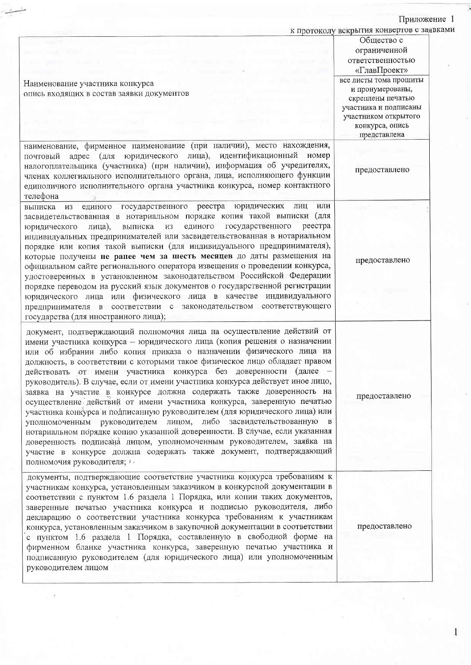## Приложение 1

| Наименование участника конкурса<br>опись входящих в состав заявки документов<br>наименование, фирменное наименование (при наличии), место нахождения,                                                                                                                                                                                                                                                                                                                                                                                                                                                                                                                                                                                                                                                                                                                                                                                                                                                                          | к протоколу вскрытия конвертов с заявками<br>Общество с<br>ограниченной<br>ответственностью<br>«ГлавПроект»<br>все листы тома прошиты<br>и пронумерованы,<br>скреплены печатью<br>участника и подписаны<br>участником открытого<br>конкурса, опись<br>представлена |
|--------------------------------------------------------------------------------------------------------------------------------------------------------------------------------------------------------------------------------------------------------------------------------------------------------------------------------------------------------------------------------------------------------------------------------------------------------------------------------------------------------------------------------------------------------------------------------------------------------------------------------------------------------------------------------------------------------------------------------------------------------------------------------------------------------------------------------------------------------------------------------------------------------------------------------------------------------------------------------------------------------------------------------|--------------------------------------------------------------------------------------------------------------------------------------------------------------------------------------------------------------------------------------------------------------------|
| адрес (для юридического лица), идентификационный номер<br>почтовый<br>налогоплательщика (участника) (при наличии), информация об учредителях,<br>членах коллегиального исполнительного органа, лица, исполняющего функции<br>единоличного исполнительного органа участника конкурса, номер контактного<br>телефона                                                                                                                                                                                                                                                                                                                                                                                                                                                                                                                                                                                                                                                                                                             | предоставлено                                                                                                                                                                                                                                                      |
| государственного реестра<br>юридических<br>лиц<br>или<br>выписка<br><b>M3</b><br>единого<br>засвидетельствованная в нотариальном порядке копия такой выписки<br>(для<br>государственного<br>реестра<br>единого<br>выписка<br><b>ИЗ</b><br>лица),<br>юридического<br>индивидуальных предпринимателей или засвидетельствованная в нотариальном<br>порядке или копия такой выписки (для индивидуального предпринимателя),<br>которые получены не ранее чем за шесть месяцев до даты размещения на<br>официальном сайте регионального оператора извещения о проведении конкурса,<br>удостоверенных в установленном законодательством Российской Федерации<br>порядке переводом на русский язык документов о государственной регистрации<br>юридического лица или физического лица в качестве индивидуального<br>предпринимателя в соответствии с законодательством соответствующего<br>государства (для иностранного лица);                                                                                                        | предоставлено                                                                                                                                                                                                                                                      |
| документ, подтверждающий полномочия лица на осуществление действий от<br>имени участника конкурса - юридического лица (копия решения о назначении<br>или об избрании либо копия приказа о назначении физического лица на<br>должность, в соответствии с которыми такое физическое лицо обладает правом<br>действовать от имени участника конкурса без доверенности (далее -<br>руководитель). В случае, если от имени участника конкурса действует иное лицо,<br>заявка на участие в конкурсе должна содержать также доверенность на<br>осуществление действий от имени участника конкурса, заверенную печатью<br>участника конкурса и подписанную руководителем (для юридического лица) или<br>уполномоченным руководителем лицом, либо засвидетельствованную в<br>нотариальном порядке копию указанной доверенности. В случае, если указанная<br>доверенность подписана лицом, уполномоченным руководителем, заявка на<br>участие в конкурсе должна содержать также документ, подтверждающий<br>полномочия руководителя; ) - | предоставлено                                                                                                                                                                                                                                                      |
| документы, подтверждающие соответствие участника конкурса требованиям к<br>участникам конкурса, установленным заказчиком в конкурсной документации в<br>соответствии с пунктом 1.6 раздела 1 Порядка, или копии таких документов,<br>заверенные печатью участника конкурса и подписью руководителя, либо<br>декларацию о соответствии участника конкурса требованиям к участникам<br>конкурса, установленным заказчиком в закупочной документации в соответствии<br>с пунктом 1.6 раздела 1 Порядка, составленную в свободной форме на<br>фирменном бланке участника конкурса, заверенную печатью участника и<br>подписанную руководителем (для юридического лица) или уполномоченным<br>руководителем лицом                                                                                                                                                                                                                                                                                                                   | предоставлено                                                                                                                                                                                                                                                      |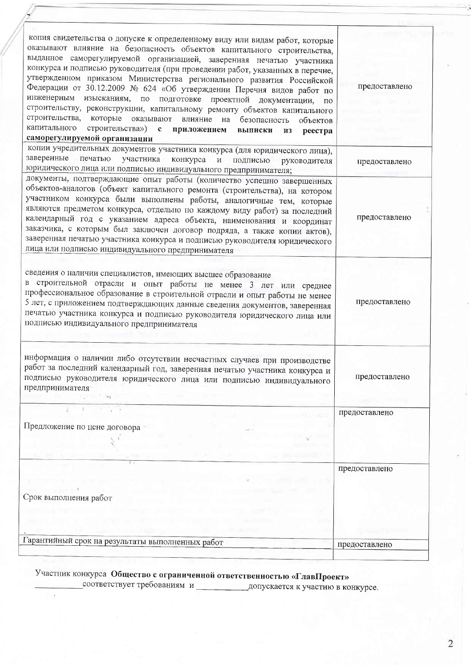| копия свидетельства о допуске к определенному виду или видам работ, которые<br>оказывают влияние на безопасность объектов капитального строительства,<br>выданное саморегулируемой организацией, заверенная печатью участника<br>конкурса и подписью руководителя (при проведении работ, указанных в перечне,<br>утвержденном приказом Министерства регионального развития Российской<br>предоставлено<br>Федерации от 30.12.2009 № 624 «Об утверждении Перечня видов работ по<br>инженерным изысканиям, по<br>подготовке<br>проектной документации,<br>$\Pi$ O<br>строительству, реконструкции, капитальному ремонту объектов капитального<br>строительства,<br>которые оказывают<br>влияние на безопасность<br>объектов<br>капитального<br>строительства») с приложением выписки<br>ИЗ<br>реестра<br>саморегулируемой организации<br>копии учредительных документов участника конкурса (для юридического лица),<br>заверенные печатью<br>участника<br>конкурса<br>$\,$ $\,$ $\,$ $\,$<br>подписью<br>руководителя<br>предоставлено<br>юридического лица или подписью индивидуального предпринимателя;<br>документы, подтверждающие опыт работы (количество успешно завершенных<br>объектов-аналогов (объект капитального ремонта (строительства), на котором<br>участником конкурса были выполнены работы, аналогичные тем, которые<br>являются предметом конкурса, отдельно по каждому виду работ) за последний<br>предоставлено<br>календарный год с указанием адреса объекта, наименования и координат<br>заказчика, с которым был заключен договор подряда, а также копии актов),<br>заверенная печатью участника конкурса и подписью руководителя юридического<br>лица или подписью индивидуального предпринимателя<br>сведения о наличии специалистов, имеющих высшее образование<br>в строительной отрасли и опыт работы не менее 3 лет или среднее<br>профессиональное образование в строительной отрасли и опыт работы не менее<br>предоставлено<br>5 лет, с приложением подтверждающих данные сведения документов, заверенная<br>печатью участника конкурса и подписью руководителя юридического лица или<br>подписью индивидуального предпринимателя<br>информация о наличии либо отсутствии несчастных случаев при производстве<br>работ за последний календарный год, заверенная печатью участника конкурса и<br>подписью руководителя юридического лица или подписью индивидуального<br>предоставлено<br>предпринимателя<br>предоставлено<br>Предложение по цене договора<br>предоставлено |                                                  |  |
|------------------------------------------------------------------------------------------------------------------------------------------------------------------------------------------------------------------------------------------------------------------------------------------------------------------------------------------------------------------------------------------------------------------------------------------------------------------------------------------------------------------------------------------------------------------------------------------------------------------------------------------------------------------------------------------------------------------------------------------------------------------------------------------------------------------------------------------------------------------------------------------------------------------------------------------------------------------------------------------------------------------------------------------------------------------------------------------------------------------------------------------------------------------------------------------------------------------------------------------------------------------------------------------------------------------------------------------------------------------------------------------------------------------------------------------------------------------------------------------------------------------------------------------------------------------------------------------------------------------------------------------------------------------------------------------------------------------------------------------------------------------------------------------------------------------------------------------------------------------------------------------------------------------------------------------------------------------------------------------------------------------------------------------------------------------------------------------------------------------------------------------------------------------------------------------------------------------------------------------------------------------------------------------------------------------------------------------------------------------------------------------------------------------------------------------------------------------------------------------------------------|--------------------------------------------------|--|
| Срок выполнения работ                                                                                                                                                                                                                                                                                                                                                                                                                                                                                                                                                                                                                                                                                                                                                                                                                                                                                                                                                                                                                                                                                                                                                                                                                                                                                                                                                                                                                                                                                                                                                                                                                                                                                                                                                                                                                                                                                                                                                                                                                                                                                                                                                                                                                                                                                                                                                                                                                                                                                      |                                                  |  |
|                                                                                                                                                                                                                                                                                                                                                                                                                                                                                                                                                                                                                                                                                                                                                                                                                                                                                                                                                                                                                                                                                                                                                                                                                                                                                                                                                                                                                                                                                                                                                                                                                                                                                                                                                                                                                                                                                                                                                                                                                                                                                                                                                                                                                                                                                                                                                                                                                                                                                                            |                                                  |  |
|                                                                                                                                                                                                                                                                                                                                                                                                                                                                                                                                                                                                                                                                                                                                                                                                                                                                                                                                                                                                                                                                                                                                                                                                                                                                                                                                                                                                                                                                                                                                                                                                                                                                                                                                                                                                                                                                                                                                                                                                                                                                                                                                                                                                                                                                                                                                                                                                                                                                                                            |                                                  |  |
|                                                                                                                                                                                                                                                                                                                                                                                                                                                                                                                                                                                                                                                                                                                                                                                                                                                                                                                                                                                                                                                                                                                                                                                                                                                                                                                                                                                                                                                                                                                                                                                                                                                                                                                                                                                                                                                                                                                                                                                                                                                                                                                                                                                                                                                                                                                                                                                                                                                                                                            |                                                  |  |
|                                                                                                                                                                                                                                                                                                                                                                                                                                                                                                                                                                                                                                                                                                                                                                                                                                                                                                                                                                                                                                                                                                                                                                                                                                                                                                                                                                                                                                                                                                                                                                                                                                                                                                                                                                                                                                                                                                                                                                                                                                                                                                                                                                                                                                                                                                                                                                                                                                                                                                            |                                                  |  |
|                                                                                                                                                                                                                                                                                                                                                                                                                                                                                                                                                                                                                                                                                                                                                                                                                                                                                                                                                                                                                                                                                                                                                                                                                                                                                                                                                                                                                                                                                                                                                                                                                                                                                                                                                                                                                                                                                                                                                                                                                                                                                                                                                                                                                                                                                                                                                                                                                                                                                                            |                                                  |  |
|                                                                                                                                                                                                                                                                                                                                                                                                                                                                                                                                                                                                                                                                                                                                                                                                                                                                                                                                                                                                                                                                                                                                                                                                                                                                                                                                                                                                                                                                                                                                                                                                                                                                                                                                                                                                                                                                                                                                                                                                                                                                                                                                                                                                                                                                                                                                                                                                                                                                                                            |                                                  |  |
|                                                                                                                                                                                                                                                                                                                                                                                                                                                                                                                                                                                                                                                                                                                                                                                                                                                                                                                                                                                                                                                                                                                                                                                                                                                                                                                                                                                                                                                                                                                                                                                                                                                                                                                                                                                                                                                                                                                                                                                                                                                                                                                                                                                                                                                                                                                                                                                                                                                                                                            |                                                  |  |
| предоставлено                                                                                                                                                                                                                                                                                                                                                                                                                                                                                                                                                                                                                                                                                                                                                                                                                                                                                                                                                                                                                                                                                                                                                                                                                                                                                                                                                                                                                                                                                                                                                                                                                                                                                                                                                                                                                                                                                                                                                                                                                                                                                                                                                                                                                                                                                                                                                                                                                                                                                              | Гарантийный срок на результаты выполненных работ |  |

# 

 $\sim 2$